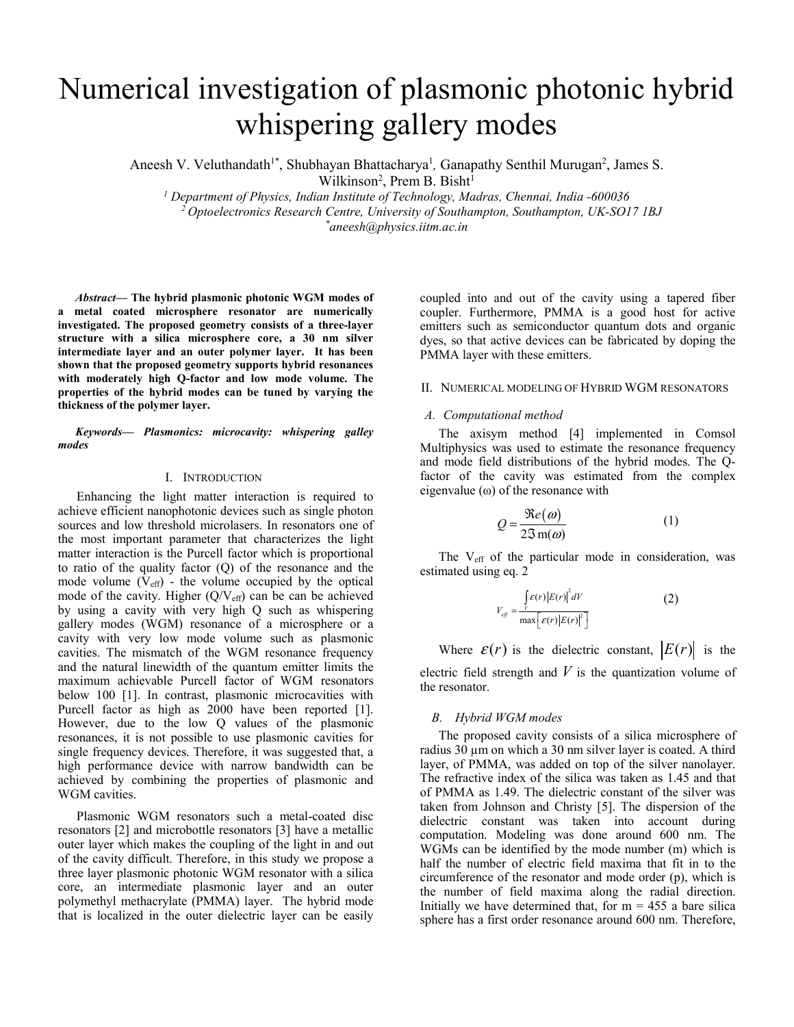# Numerical investigation of plasmonic photonic hybrid whispering gallery modes

Aneesh V. Veluthandath<sup>1\*</sup>, Shubhayan Bhattacharya<sup>1</sup>, Ganapathy Senthil Murugan<sup>2</sup>, James S. Wilkinson<sup>2</sup>, Prem B. Bisht<sup>1</sup>

*1 Department of Physics, Indian Institute of Technology, Madras, Chennai, India -600036 2 Optoelectronics Research Centre, University of Southampton, Southampton, UK-SO17 1BJ \* aneesh@physics.iitm.ac.in*

*Abstract***— The hybrid plasmonic photonic WGM modes of a metal coated microsphere resonator are numerically investigated. The proposed geometry consists of a three-layer structure with a silica microsphere core, a 30 nm silver intermediate layer and an outer polymer layer. It has been shown that the proposed geometry supports hybrid resonances with moderately high Q-factor and low mode volume. The properties of the hybrid modes can be tuned by varying the thickness of the polymer layer.**

*Keywords— Plasmonics: microcavity: whispering galley modes* 

## I. INTRODUCTION

Enhancing the light matter interaction is required to achieve efficient nanophotonic devices such as single photon sources and low threshold microlasers. In resonators one of the most important parameter that characterizes the light matter interaction is the Purcell factor which is proportional to ratio of the quality factor (Q) of the resonance and the mode volume  $(V_{\text{eff}})$  - the volume occupied by the optical mode of the cavity. Higher  $(Q/V_{\text{eff}})$  can be can be achieved by using a cavity with very high Q such as whispering gallery modes (WGM) resonance of a microsphere or a cavity with very low mode volume such as plasmonic cavities. The mismatch of the WGM resonance frequency and the natural linewidth of the quantum emitter limits the maximum achievable Purcell factor of WGM resonators below 100 [1]. In contrast, plasmonic microcavities with Purcell factor as high as 2000 have been reported [1]. However, due to the low Q values of the plasmonic resonances, it is not possible to use plasmonic cavities for single frequency devices. Therefore, it was suggested that, a high performance device with narrow bandwidth can be achieved by combining the properties of plasmonic and WGM cavities.

Plasmonic WGM resonators such a metal-coated disc resonators [2] and microbottle resonators [3] have a metallic outer layer which makes the coupling of the light in and out of the cavity difficult. Therefore, in this study we propose a three layer plasmonic photonic WGM resonator with a silica core, an intermediate plasmonic layer and an outer polymethyl methacrylate (PMMA) layer. The hybrid mode that is localized in the outer dielectric layer can be easily coupled into and out of the cavity using a tapered fiber coupler. Furthermore, PMMA is a good host for active emitters such as semiconductor quantum dots and organic dyes, so that active devices can be fabricated by doping the PMMA layer with these emitters.

### II. NUMERICAL MODELING OF HYBRID WGM RESONATORS

## *A. Computational method*

The axisym method [4] implemented in Comsol Multiphysics was used to estimate the resonance frequency and mode field distributions of the hybrid modes. The Qfactor of the cavity was estimated from the complex eigenvalue  $(\omega)$  of the resonance with

$$
Q = \frac{\Re e(\omega)}{2\Im \mathbf{m}(\omega)}\tag{1}
$$

The V<sub>eff</sub> of the particular mode in consideration, was estimated using eq. 2

$$
V_{\text{eff}} = \frac{\int_{V} \mathcal{E}(r) |E(r)|^2 dV}{\max \left[ \mathcal{E}(r) |E(r)|^2 \right]} \tag{2}
$$

Where  $\varepsilon(r)$  is the dielectric constant,  $|E(r)|$  is the electric field strength and  $V$  is the quantization volume of the resonator.

#### *B. Hybrid WGM modes*

The proposed cavity consists of a silica microsphere of radius 30 µm on which a 30 nm silver layer is coated. A third layer, of PMMA, was added on top of the silver nanolayer. The refractive index of the silica was taken as 1.45 and that of PMMA as 1.49. The dielectric constant of the silver was taken from Johnson and Christy [5]. The dispersion of the dielectric constant was taken into account during computation. Modeling was done around 600 nm. The WGMs can be identified by the mode number (m) which is half the number of electric field maxima that fit in to the circumference of the resonator and mode order (p), which is the number of field maxima along the radial direction. Initially we have determined that, for  $m = 455$  a bare silica sphere has a first order resonance around 600 nm. Therefore,